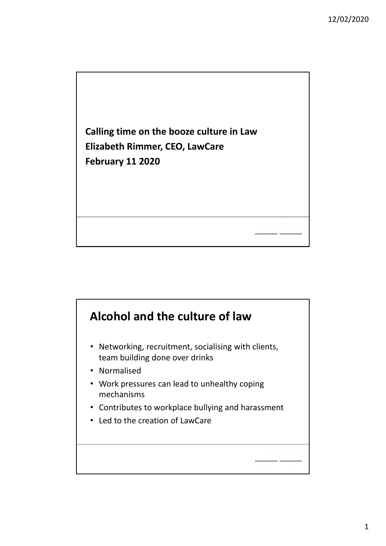

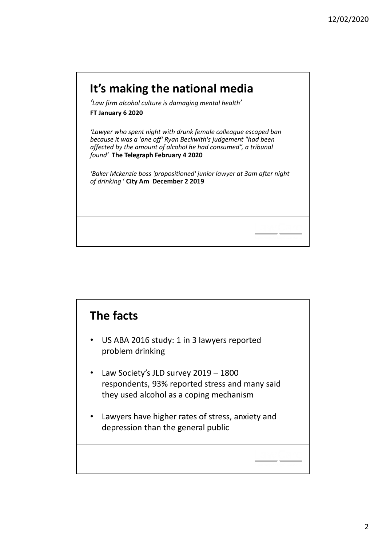

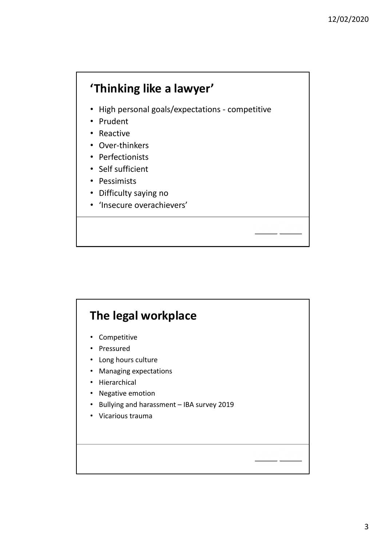## **'Thinking like a lawyer'**

- High personal goals/expectations ‐ competitive
- Prudent
- Reactive
- Over‐thinkers
- Perfectionists
- Self sufficient
- Pessimists
- Difficulty saying no
- 'Insecure overachievers'

## **The legal workplace**

- Competitive
- Pressured
- Long hours culture
- Managing expectations
- Hierarchical
- Negative emotion
- Bullying and harassment IBA survey 2019
- Vicarious trauma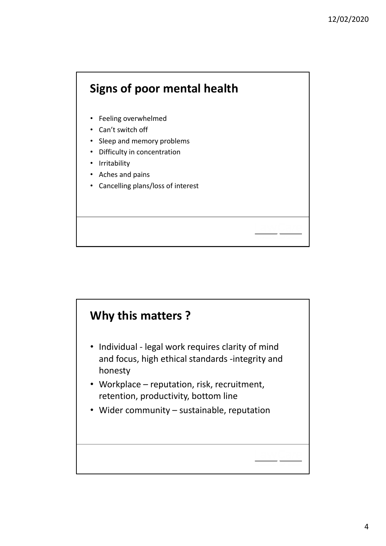

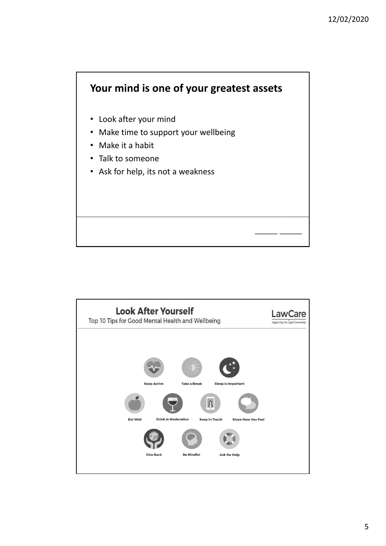

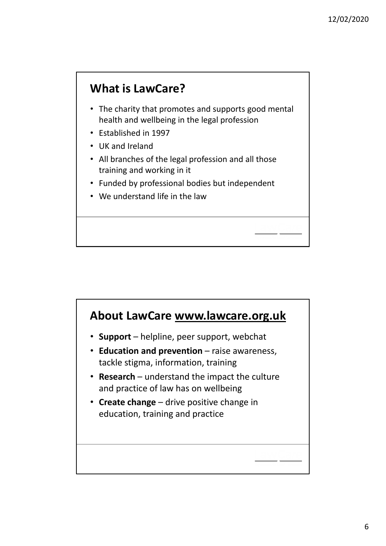

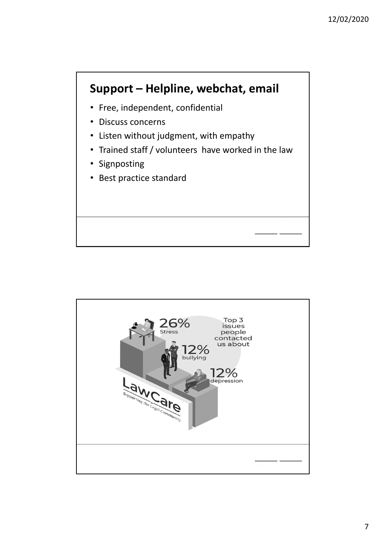## **Support – Helpline, webchat, email**

- Free, independent, confidential
- Discuss concerns
- Listen without judgment, with empathy
- Trained staff / volunteers have worked in the law
- Signposting
- Best practice standard

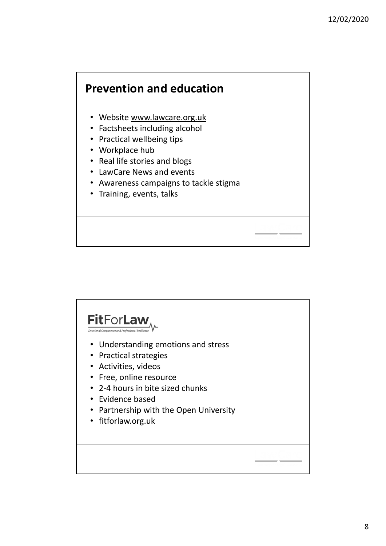#### **Prevention and education**

- Website www.lawcare.org.uk
- Factsheets including alcohol
- Practical wellbeing tips
- Workplace hub
- Real life stories and blogs
- LawCare News and events
- Awareness campaigns to tackle stigma
- Training, events, talks

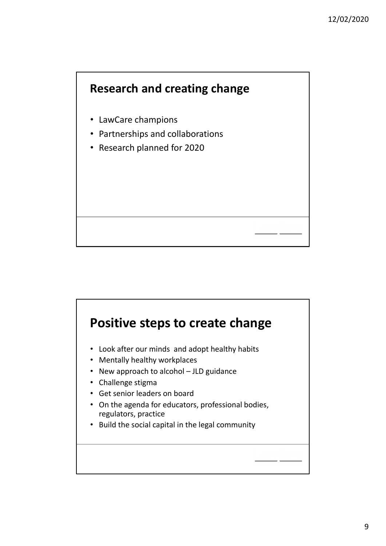